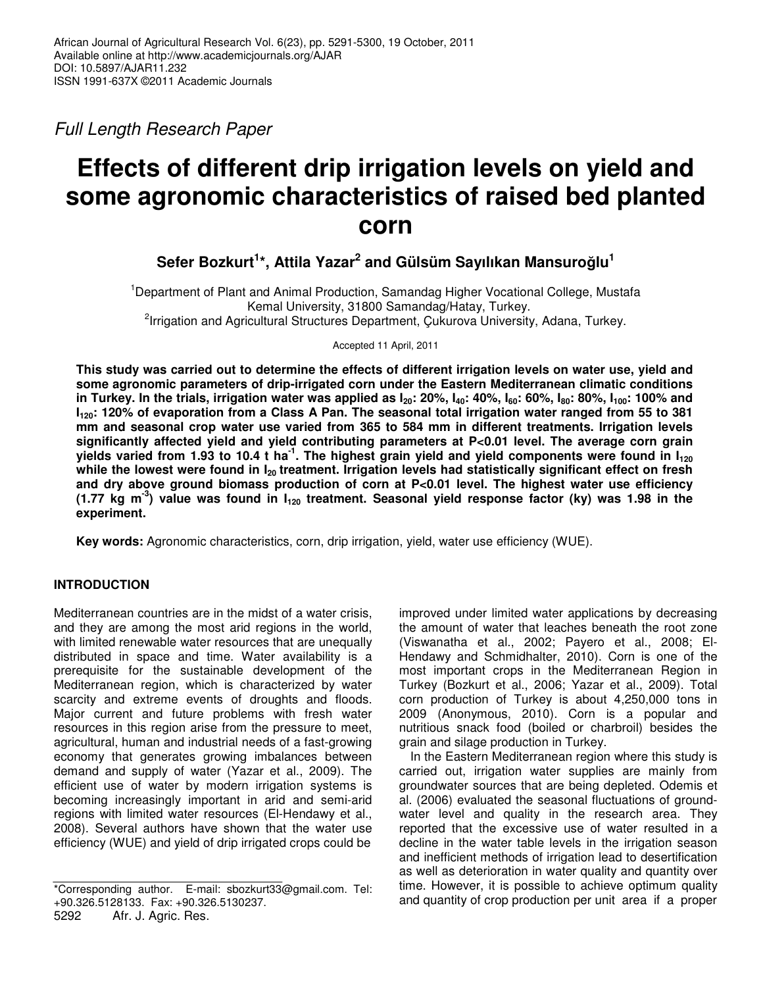*Full Length Research Paper*

# **Effects of different drip irrigation levels on yield and some agronomic characteristics of raised bed planted corn**

**Sefer Bozkurt 1 \*, Attila Yazar 2 and Gülsüm Sayılıkan Mansurolu 1**

<sup>1</sup>Department of Plant and Animal Production, Samandag Higher Vocational College, Mustafa Kemal University, 31800 Samandag/Hatay, Turkey. <sup>2</sup>Irrigation and Agricultural Structures Department, Çukurova University, Adana, Turkey.

Accepted 11 April, 2011

This study was carried out to determine the effects of different irrigation levels on water use, yield and **some agronomic parameters of drip-irrigated corn under the Eastern Mediterranean climatic conditions** in Turkey. In the trials, irrigation water was applied as  $I_{20}$ : 20%,  $I_{40}$ : 40%,  $I_{60}$ : 60%,  $I_{80}$ : 80%,  $I_{100}$ : 100% and I<sub>120</sub>: 120% of evaporation from a Class A Pan. The seasonal total irrigation water ranged from 55 to 381 **mm and seasonal crop water use varied from 365 to 584 mm in different treatments. Irrigation levels significantly affected yield and yield contributing parameters at P<0.01 level. The average corn grain** yields varied from 1.93 to 10.4 t ha<sup>-1</sup>. The highest grain yield and yield components were found in  $\mathsf{I}_{\mathsf{120}}$ while the lowest were found in  $I_{20}$  treatment. Irrigation levels had statistically significant effect on fresh **and dry above ground biomass production of corn at P<0.01 level. The highest water use efficiency** (1.77 kg m<sup>-3</sup>) value was found in  $I_{120}$  treatment. Seasonal yield response factor (ky) was 1.98 in the **experiment.**

**Key words:** Agronomic characteristics, corn, drip irrigation, yield, water use efficiency (WUE).

## **INTRODUCTION**

Mediterranean countries are in the midst of a water crisis, and they are among the most arid regions in the world, with limited renewable water resources that are unequally distributed in space and time. Water availability is a prerequisite for the sustainable development of the Mediterranean region, which is characterized by water scarcity and extreme events of droughts and floods. Major current and future problems with fresh water resources in this region arise from the pressure to meet, agricultural, human and industrial needs of a fast-growing economy that generates growing imbalances between demand and supply of water (Yazar et al., 2009). The efficient use of water by modern irrigation systems is becoming increasingly important in arid and semi-arid regions with limited water resources (El-Hendawy et al., 2008). Several authors have shown that the water use efficiency (WUE) and yield of drip irrigated crops could be

improved under limited water applications by decreasing the amount of water that leaches beneath the root zone (Viswanatha et al., 2002; Payero et al., 2008; El-Hendawy and Schmidhalter, 2010). Corn is one of the most important crops in the Mediterranean Region in Turkey (Bozkurt et al., 2006; Yazar et al., 2009). Total corn production of Turkey is about 4,250,000 tons in 2009 (Anonymous, 2010). Corn is a popular and nutritious snack food (boiled or charbroil) besides the grain and silage production in Turkey.

In the Eastern Mediterranean region where this study is carried out, irrigation water supplies are mainly from groundwater sources that are being depleted. Odemis et al. (2006) evaluated the seasonal fluctuations of groundwater level and quality in the research area. They reported that the excessive use of water resulted in a decline in the water table levels in the irrigation season and inefficient methods of irrigation lead to desertification as well as deterioration in water quality and quantity over time. However, it is possible to achieve optimum quality and quantity of crop production per unit area if a proper

<sup>\*</sup>Corresponding author. E-mail: sbozkurt33@gmail.com. Tel: +90.326.5128133. Fax: +90.326.5130237.

<sup>5292</sup> Afr. J. Agric. Res.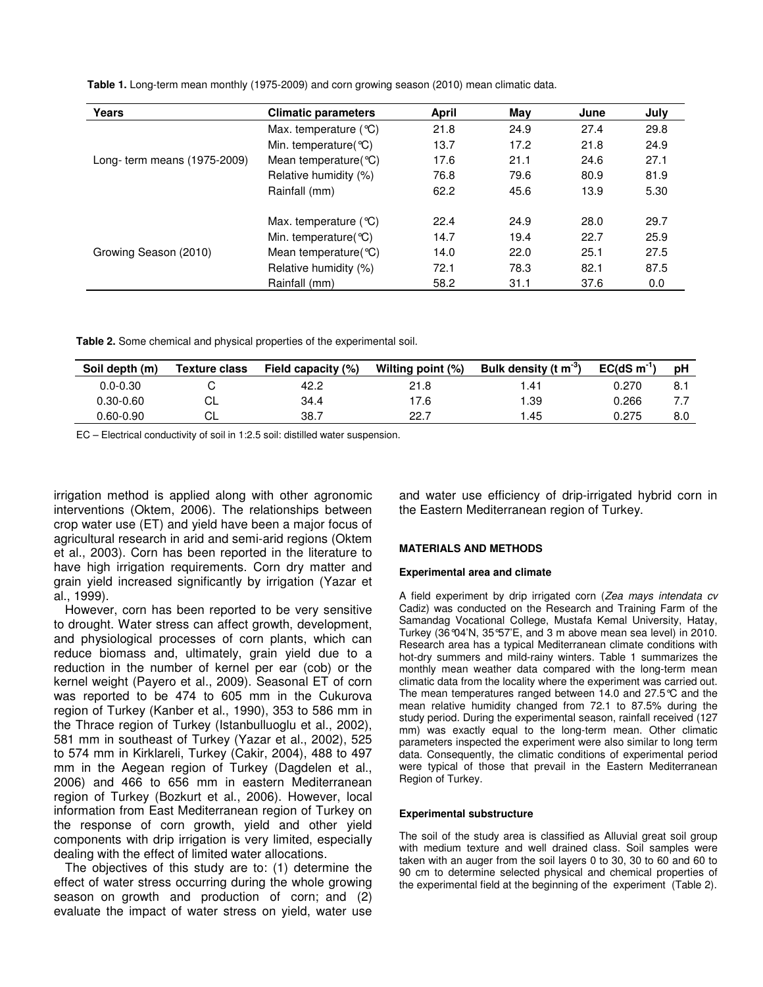**Table 1.** Long-term mean monthly (1975-2009) and corn growing season (2010) mean climatic data.

| Years                        | <b>Climatic parameters</b>       | April | May  | June | July |
|------------------------------|----------------------------------|-------|------|------|------|
|                              | Max. temperature $(°C)$          | 21.8  | 24.9 | 27.4 | 29.8 |
|                              | Min. temperature( $°C$ )         | 13.7  | 17.2 | 21.8 | 24.9 |
| Long- term means (1975-2009) | Mean temperature $\mathcal{C}$ ) | 17.6  | 21.1 | 24.6 | 27.1 |
|                              | Relative humidity (%)            | 76.8  | 79.6 | 80.9 | 81.9 |
|                              | Rainfall (mm)                    | 62.2  | 45.6 | 13.9 | 5.30 |
|                              | Max. temperature $(°C)$          | 22.4  | 24.9 | 28.0 | 29.7 |
|                              | Min. temperature( $°C$ )         | 14.7  | 19.4 | 22.7 | 25.9 |
| Growing Season (2010)        | Mean temperature $\mathcal{C}$ ) | 14.0  | 22.0 | 25.1 | 27.5 |
|                              | Relative humidity (%)            | 72.1  | 78.3 | 82.1 | 87.5 |
|                              | Rainfall (mm)                    | 58.2  | 31.1 | 37.6 | 0.0  |

**Table 2.** Some chemical and physical properties of the experimental soil.

| Soil depth (m) | <b>Texture class</b> | Field capacity (%) | Wilting point (%) | Bulk density (t m <sup>-3</sup> ) | $EC(dS \, m^{-1})$ | рH  |
|----------------|----------------------|--------------------|-------------------|-----------------------------------|--------------------|-----|
| $0.0 - 0.30$   |                      | 42.2               | 21.8              | . 41                              | 0.270              | 8.  |
| $0.30 - 0.60$  | СL                   | 34.4               | 17.6              | ∣.39                              | 0.266              |     |
| $0.60 - 0.90$  | СL                   | 38.7               | 22.7              | .45                               | 0.275              | 8.0 |

EC – Electrical conductivity of soil in 1:2.5 soil: distilled water suspension.

irrigation method is applied along with other agronomic interventions (Oktem, 2006). The relationships between crop water use (ET) and yield have been a major focus of agricultural research in arid and semi-arid regions (Oktem et al., 2003). Corn has been reported in the literature to have high irrigation requirements. Corn dry matter and grain yield increased significantly by irrigation (Yazar et al., 1999).

However, corn has been reported to be very sensitive to drought. Water stress can affect growth, development, and physiological processes of corn plants, which can reduce biomass and, ultimately, grain yield due to a reduction in the number of kernel per ear (cob) or the kernel weight (Payero et al., 2009). Seasonal ET of corn was reported to be 474 to 605 mm in the Cukurova region of Turkey (Kanber et al., 1990), 353 to 586 mm in the Thrace region of Turkey (Istanbulluoglu et al., 2002), 581 mm in southeast of Turkey (Yazar et al., 2002), 525 to 574 mm in Kirklareli, Turkey (Cakir, 2004), 488 to 497 mm in the Aegean region of Turkey (Dagdelen et al., 2006) and 466 to 656 mm in eastern Mediterranean region of Turkey (Bozkurt et al., 2006). However, local information from East Mediterranean region of Turkey on the response of corn growth, yield and other yield components with drip irrigation is very limited, especially dealing with the effect of limited water allocations.

The objectives of this study are to: (1) determine the effect of water stress occurring during the whole growing season on growth and production of corn; and (2) evaluate the impact of water stress on yield, water use and water use efficiency of drip-irrigated hybrid corn in the Eastern Mediterranean region of Turkey.

## **MATERIALS AND METHODS**

#### **Experimental area and climate**

A field experiment by drip irrigated corn (*Zea mays intendata cv* Cadiz) was conducted on the Research and Training Farm of the Samandag Vocational College, Mustafa Kemal University, Hatay, Turkey (36°04'N, 35°57'E, and 3 m above mean sea level) in 2010. Research area has a typical Mediterranean climate conditions with hot-dry summers and mild-rainy winters. Table 1 summarizes the monthly mean weather data compared with the long-term mean climatic data from the locality where the experiment was carried out. The mean temperatures ranged between 14.0 and 27.5°C and the mean relative humidity changed from 72.1 to 87.5% during the study period. During the experimental season, rainfall received (127 mm) was exactly equal to the long-term mean. Other climatic parameters inspected the experiment were also similar to long term data. Consequently, the climatic conditions of experimental period were typical of those that prevail in the Eastern Mediterranean Region of Turkey.

#### **Experimental substructure**

The soil of the study area is classified as Alluvial great soil group with medium texture and well drained class. Soil samples were taken with an auger from the soil layers 0 to 30, 30 to 60 and 60 to 90 cm to determine selected physical and chemical properties of the experimental field at the beginning of the experiment (Table 2).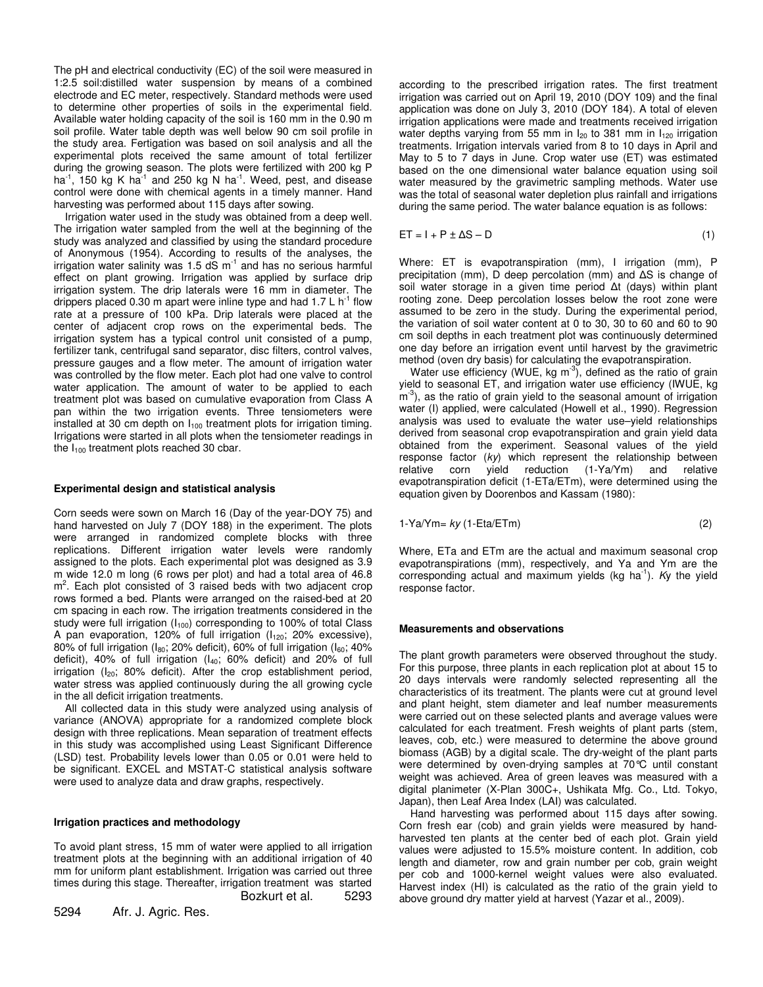The pH and electrical conductivity (EC) of the soil were measured in 1:2.5 soil:distilled water suspension by means of a combined electrode and EC meter, respectively. Standard methods were used to determine other properties of soils in the experimental field. Available water holding capacity of the soil is 160 mm in the 0.90 m soil profile. Water table depth was well below 90 cm soil profile in the study area. Fertigation was based on soil analysis and all the experimental plots received the same amount of total fertilizer during the growing season. The plots were fertilized with 200 kg P ha<sup>-1</sup>, 150 kg K ha<sup>-1</sup> and 250 kg N ha<sup>-1</sup>. Weed, pest, and disease control were done with chemical agents in a timely manner. Hand harvesting was performed about 115 days after sowing.

Irrigation water used in the study was obtained from a deep well. The irrigation water sampled from the well at the beginning of the study was analyzed and classified by using the standard procedure of Anonymous (1954). According to results of the analyses, the irrigation water salinity was 1.5 dS  $m^{-1}$  and has no serious harmful effect on plant growing. Irrigation was applied by surface drip irrigation system. The drip laterals were 16 mm in diameter. The drippers placed 0.30 m apart were inline type and had 1.7 L  $h^{-1}$  flow rate at a pressure of 100 kPa. Drip laterals were placed at the center of adjacent crop rows on the experimental beds. The irrigation system has a typical control unit consisted of a pump, fertilizer tank, centrifugal sand separator, disc filters, control valves, pressure gauges and a flow meter. The amount of irrigation water was controlled by the flow meter. Each plot had one valve to control water application. The amount of water to be applied to each treatment plot was based on cumulative evaporation from Class A pan within the two irrigation events. Three tensiometers were installed at 30 cm depth on  $I_{100}$  treatment plots for irrigation timing. Irrigations were started in all plots when the tensiometer readings in the  $I_{100}$  treatment plots reached 30 cbar.

#### **Experimental design and statistical analysis**

Corn seeds were sown on March 16 (Day of the year-DOY 75) and hand harvested on July 7 (DOY 188) in the experiment. The plots were arranged in randomized complete blocks with three replications. Different irrigation water levels were randomly assigned to the plots. Each experimental plot was designed as 3.9 m wide 12.0 m long (6 rows per plot) and had a total area of 46.8 m<sup>2</sup>. Each plot consisted of 3 raised beds with two adjacent crop rows formed a bed. Plants were arranged on the raised-bed at 20 cm spacing in each row. The irrigation treatments considered in the study were full irrigation  $(I_{100})$  corresponding to 100% of total Class A pan evaporation, 120% of full irrigation  $(I_{120}; 20\%$  excessive), 80% of full irrigation ( $I_{80}$ ; 20% deficit), 60% of full irrigation ( $I_{60}$ ; 40% deficit), 40% of full irrigation  $(l_{40}; 60\%$  deficit) and 20% of full irrigation  $(I_{20}$ ; 80% deficit). After the crop establishment period, water stress was applied continuously during the all growing cycle in the all deficit irrigation treatments.

All collected data in this study were analyzed using analysis of variance (ANOVA) appropriate for a randomized complete block design with three replications. Mean separation of treatment effects in this study was accomplished using Least Significant Difference (LSD) test. Probability levels lower than 0.05 or 0.01 were held to be significant. EXCEL and MSTAT-C statistical analysis software were used to analyze data and draw graphs, respectively.

#### **Irrigation practices and methodology**

To avoid plant stress, 15 mm of water were applied to all irrigation treatment plots at the beginning with an additional irrigation of 40 mm for uniform plant establishment. Irrigation was carried out three times during this stage. Thereafter, irrigation treatment was started Bozkurt et al. 5293

5294 Afr. J. Agric. Res.

according to the prescribed irrigation rates. The first treatment irrigation was carried out on April 19, 2010 (DOY 109) and the final application was done on July 3, 2010 (DOY 184). A total of eleven irrigation applications were made and treatments received irrigation water depths varying from 55 mm in  $I_{20}$  to 381 mm in  $I_{120}$  irrigation treatments. Irrigation intervals varied from 8 to 10 days in April and May to 5 to 7 days in June. Crop water use (ET) was estimated based on the one dimensional water balance equation using soil water measured by the gravimetric sampling methods. Water use was the total of seasonal water depletion plus rainfall and irrigations during the same period. The water balance equation is as follows:

 $ET = I + P \pm \Delta S - D$  (1)

Where: ET is evapotranspiration (mm), I irrigation (mm), P precipitation (mm), D deep percolation (mm) and  $\Delta S$  is change of soil water storage in a given time period  $\Delta t$  (days) within plant rooting zone. Deep percolation losses below the root zone were assumed to be zero in the study. During the experimental period, the variation of soil water content at 0 to 30, 30 to 60 and 60 to 90 cm soil depths in each treatment plot was continuously determined one day before an irrigation event until harvest by the gravimetric method (oven dry basis) for calculating the evapotranspiration.

Water use efficiency (WUE, kg m<sup>-3</sup>), defined as the ratio of grain yield to seasonal ET, and irrigation water use efficiency (IWUE, kg m<sup>-3</sup>), as the ratio of grain yield to the seasonal amount of irrigation water (I) applied, were calculated (Howell et al., 1990). Regression analysis was used to evaluate the water use–yield relationships derived from seasonal crop evapotranspiration and grain yield data obtained from the experiment. Seasonal values of the yield response factor (*ky*) which represent the relationship between relative corn yield reduction (1-Ya/Ym) and relative evapotranspiration deficit (1-ETa/ETm), were determined using the equation given by Doorenbos and Kassam (1980):

$$
1-Ya/Ym = ky (1-Eta/ETm)
$$
 (2)

Where, ETa and ETm are the actual and maximum seasonal crop evapotranspirations (mm), respectively, and Ya and Ym are the corresponding actual and maximum yields (kg ha -1 ). *K*y the yield response factor.

#### **Measurements and observations**

The plant growth parameters were observed throughout the study. For this purpose, three plants in each replication plot at about 15 to 20 days intervals were randomly selected representing all the characteristics of its treatment. The plants were cut at ground level and plant height, stem diameter and leaf number measurements were carried out on these selected plants and average values were calculated for each treatment. Fresh weights of plant parts (stem, leaves, cob, etc.) were measured to determine the above ground biomass (AGB) by a digital scale. The dry-weight of the plant parts were determined by oven-drying samples at 70°C until constant weight was achieved. Area of green leaves was measured with a digital planimeter (X-Plan 300C+, Ushikata Mfg. Co., Ltd. Tokyo, Japan), then Leaf Area Index (LAI) was calculated.

Hand harvesting was performed about 115 days after sowing. Corn fresh ear (cob) and grain yields were measured by handharvested ten plants at the center bed of each plot. Grain yield values were adjusted to 15.5% moisture content. In addition, cob length and diameter, row and grain number per cob, grain weight per cob and 1000-kernel weight values were also evaluated. Harvest index (HI) is calculated as the ratio of the grain yield to above ground dry matter yield at harvest (Yazar et al., 2009).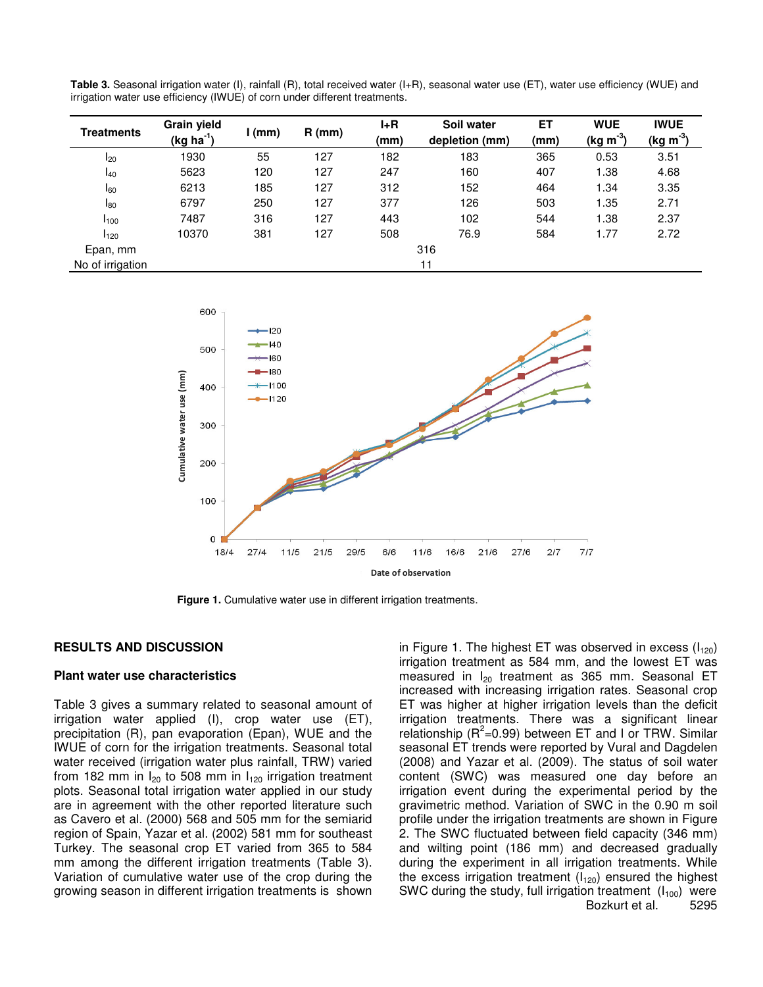| Treatments       | <b>Grain yield</b><br>(kg ha <sup>-1</sup> ) | (mm) | $R$ (mm) | $I+R$<br>(mm) | Soil water<br>depletion (mm) | ET<br>(mm) | <b>WUE</b><br>$(kg m-3)$ | <b>IWUE</b><br>$(kg m-3)$ |  |
|------------------|----------------------------------------------|------|----------|---------------|------------------------------|------------|--------------------------|---------------------------|--|
| $I_{20}$         | 1930                                         | 55   | 127      | 182           | 183                          | 365        | 0.53                     | 3.51                      |  |
| $I_{40}$         | 5623                                         | 120  | 127      | 247           | 160                          | 407        | 1.38                     | 4.68                      |  |
| $I_{60}$         | 6213                                         | 185  | 127      | 312           | 152                          | 464        | 1.34                     | 3.35                      |  |
| $I_{80}$         | 6797                                         | 250  | 127      | 377           | 126                          | 503        | 1.35                     | 2.71                      |  |
| I <sub>100</sub> | 7487                                         | 316  | 127      | 443           | 102                          | 544        | 1.38                     | 2.37                      |  |
| $I_{120}$        | 10370                                        | 381  | 127      | 508           | 76.9                         | 584        | 1.77                     | 2.72                      |  |
| Epan, mm         |                                              | 316  |          |               |                              |            |                          |                           |  |
| No of irrigation |                                              |      |          |               | 11                           |            |                          |                           |  |

**Table 3.** Seasonal irrigation water (I), rainfall (R), total received water (I+R), seasonal water use (ET), water use efficiency (WUE) and irrigation water use efficiency (IWUE) of corn under different treatments.



**Figure 1.** Cumulative water use in different irrigation treatments.

#### **RESULTS AND DISCUSSION**

#### **Plant water use characteristics**

Table 3 gives a summary related to seasonal amount of irrigation water applied (I), crop water use (ET), precipitation (R), pan evaporation (Epan), WUE and the IWUE of corn for the irrigation treatments. Seasonal total water received (irrigation water plus rainfall, TRW) varied from 182 mm in  $I_{20}$  to 508 mm in  $I_{120}$  irrigation treatment plots. Seasonal total irrigation water applied in our study are in agreement with the other reported literature such as Cavero et al. (2000) 568 and 505 mm for the semiarid region of Spain, Yazar et al. (2002) 581 mm for southeast Turkey. The seasonal crop ET varied from 365 to 584 mm among the different irrigation treatments (Table 3). Variation of cumulative water use of the crop during the growing season in different irrigation treatments is shown

in Figure 1. The highest ET was observed in excess  $(I_{120})$ irrigation treatment as 584 mm, and the lowest ET was measured in  $I_{20}$  treatment as 365 mm. Seasonal ET increased with increasing irrigation rates. Seasonal crop ET was higher at higher irrigation levels than the deficit irrigation treatments. There was a significant linear relationship ( $R^2$ =0.99) between ET and I or TRW. Similar seasonal ET trends were reported by Vural and Dagdelen (2008) and Yazar et al. (2009). The status of soil water content (SWC) was measured one day before an irrigation event during the experimental period by the gravimetric method. Variation of SWC in the 0.90 m soil profile under the irrigation treatments are shown in Figure 2. The SWC fluctuated between field capacity (346 mm) and wilting point (186 mm) and decreased gradually during the experiment in all irrigation treatments. While the excess irrigation treatment  $(I_{120})$  ensured the highest SWC during the study, full irrigation treatment  $(I_{100})$  were Bozkurt et al. 5295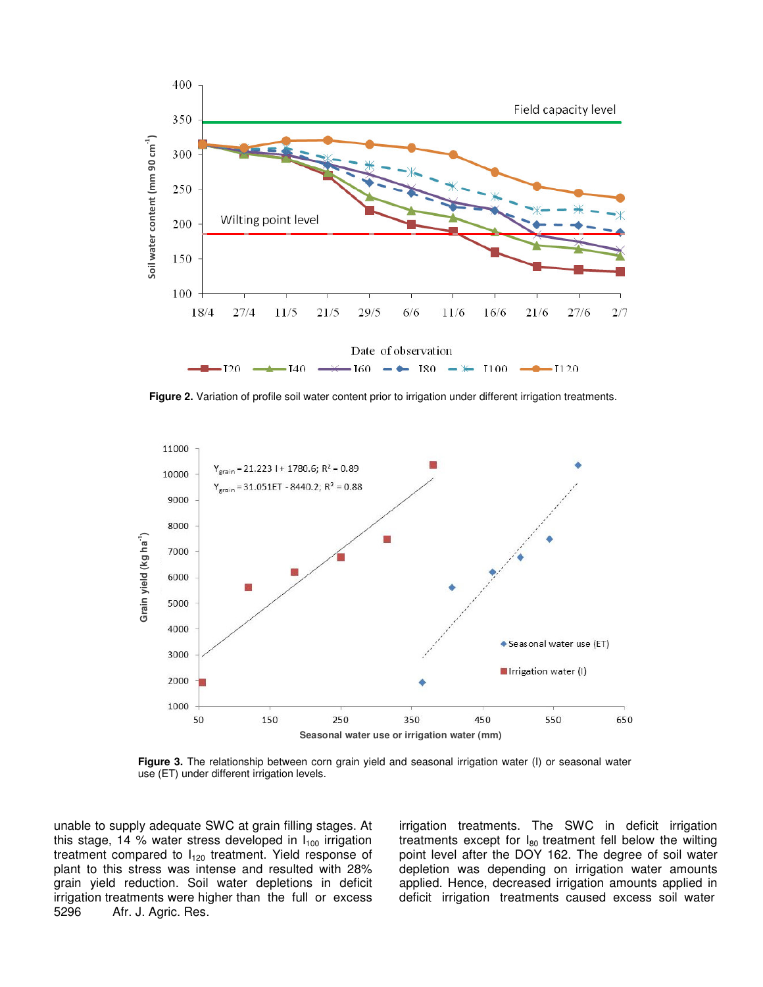

**Figure 2.** Variation of profile soil water content prior to irrigation under different irrigation treatments.



**Figure 3.** The relationship between corn grain yield and seasonal irrigation water (I) or seasonal water use (ET) under different irrigation levels.

unable to supply adequate SWC at grain filling stages. At this stage, 14 % water stress developed in  $I_{100}$  irrigation treatment compared to  $I_{120}$  treatment. Yield response of plant to this stress was intense and resulted with 28% grain yield reduction. Soil water depletions in deficit irrigation treatments were higher than the full or excess 5296 Afr. J. Agric. Res. Afr. J. Agric. Res.

irrigation treatments. The SWC in deficit irrigation treatments except for  $I_{80}$  treatment fell below the wilting point level after the DOY 162. The degree of soil water depletion was depending on irrigation water amounts applied. Hence, decreased irrigation amounts applied in deficit irrigation treatments caused excess soil water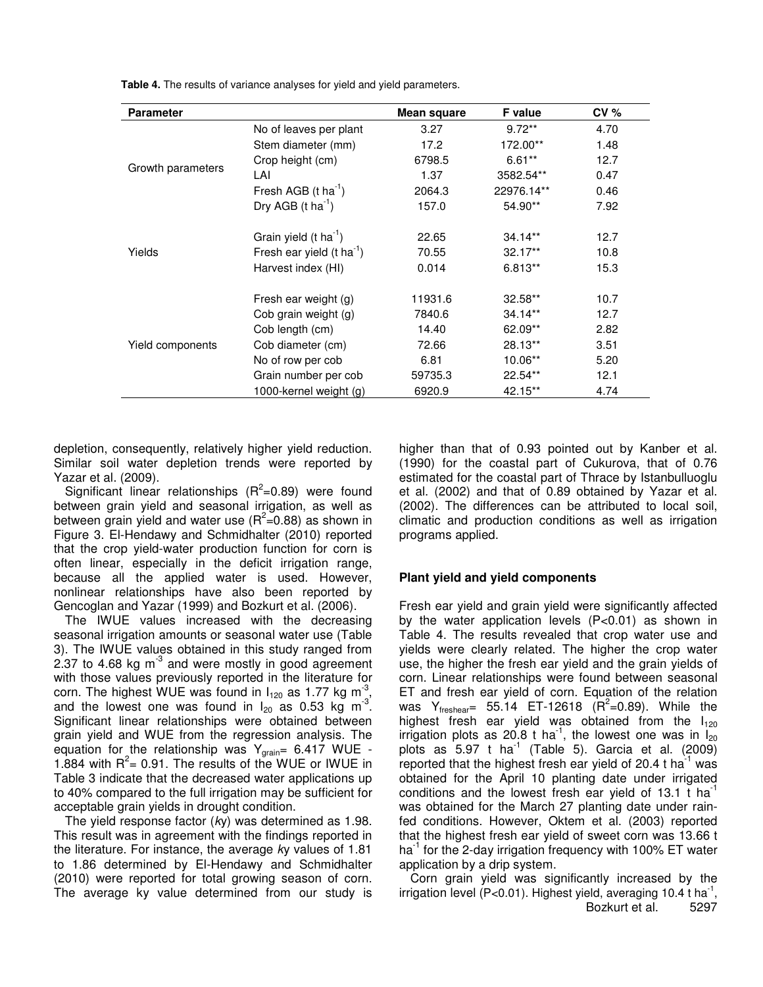| <b>Parameter</b>  |                                       | <b>Mean square</b> | <b>F</b> value | $CV \%$ |
|-------------------|---------------------------------------|--------------------|----------------|---------|
|                   | No of leaves per plant                | 3.27               | $9.72**$       | 4.70    |
|                   | Stem diameter (mm)                    | 17.2               | 172.00**       | 1.48    |
|                   | Crop height (cm)                      | 6798.5             | $6.61**$       | 12.7    |
| Growth parameters | LAI                                   | 1.37               | 3582.54**      | 0.47    |
|                   | Fresh AGB $(t \text{ ha}^{-1})$       | 2064.3             | 22976.14**     | 0.46    |
|                   | Dry AGB $(t \text{ ha}^{-1})$         | 157.0              | 54.90**        | 7.92    |
|                   | Grain yield $(t \text{ ha}^{-1})$     | 22.65              | $34.14**$      | 12.7    |
| Yields            | Fresh ear yield $(t \text{ ha}^{-1})$ | 70.55              | $32.17**$      | 10.8    |
|                   | Harvest index (HI)                    | 0.014              | $6.813**$      | 15.3    |
|                   | Fresh ear weight (g)                  | 11931.6            | $32.58**$      | 10.7    |
|                   | Cob grain weight (g)                  | 7840.6             | $34.14**$      | 12.7    |
|                   | Cob length (cm)                       | 14.40              | 62.09**        | 2.82    |
| Yield components  | Cob diameter (cm)                     | 72.66              | 28.13**        | 3.51    |
|                   | No of row per cob                     | 6.81               | $10.06**$      | 5.20    |
|                   | Grain number per cob                  | 59735.3            | $22.54**$      | 12.1    |
|                   | 1000-kernel weight (g)                | 6920.9             | 42.15**        | 4.74    |

**Table 4.** The results of variance analyses for yield and yield parameters.

depletion, consequently, relatively higher yield reduction. Similar soil water depletion trends were reported by Yazar et al. (2009).

Significant linear relationships  $(R^2=0.89)$  were found between grain yield and seasonal irrigation, as well as between grain yield and water use ( $R^2$ =0.88) as shown in Figure 3. El-Hendawy and Schmidhalter (2010) reported that the crop yield-water production function for corn is often linear, especially in the deficit irrigation range, because all the applied water is used. However, nonlinear relationships have also been reported by Gencoglan and Yazar (1999) and Bozkurt et al. (2006).

The IWUE values increased with the decreasing seasonal irrigation amounts or seasonal water use (Table 3). The IWUE values obtained in this study ranged from 2.37 to 4.68 kg m $3$  and were mostly in good agreement with those values previously reported in the literature for corn. The highest WUE was found in  $I_{120}$  as 1.77 kg m<sup>-3</sup>, and the lowest one was found in  $I_{20}$  as 0.53 kg m<sup>-3</sup>. Significant linear relationships were obtained between grain yield and WUE from the regression analysis. The equation for the relationship was  $Y_{\text{grain}}= 6.417 \text{ WUE}$  -1.884 with  $R^2$  = 0.91. The results of the WUE or IWUE in Table 3 indicate that the decreased water applications up to 40% compared to the full irrigation may be sufficient for acceptable grain yields in drought condition.

The yield response factor (*k*y) was determined as 1.98. This result was in agreement with the findings reported in the literature. For instance, the average *k*y values of 1.81 to 1.86 determined by El-Hendawy and Schmidhalter (2010) were reported for total growing season of corn. The average ky value determined from our study is higher than that of 0.93 pointed out by Kanber et al. (1990) for the coastal part of Cukurova, that of 0.76 estimated for the coastal part of Thrace by Istanbulluoglu et al. (2002) and that of 0.89 obtained by Yazar et al. (2002). The differences can be attributed to local soil, climatic and production conditions as well as irrigation programs applied.

#### **Plant yield and yield components**

Fresh ear yield and grain yield were significantly affected by the water application levels (P<0.01) as shown in Table 4. The results revealed that crop water use and yields were clearly related. The higher the crop water use, the higher the fresh ear yield and the grain yields of corn. Linear relationships were found between seasonal ET and fresh ear yield of corn. Equation of the relation was  $Y_{\text{freshear}} = 55.14$  ET-12618 ( $R^2$ =0.89). While the highest fresh ear yield was obtained from the  $I_{120}$ irrigation plots as 20.8 t ha<sup>-1</sup>, the lowest one was in  $I_{20}$ plots as  $5.97$  t ha $^{-1}$  (Table 5). Garcia et al. (2009) reported that the highest fresh ear yield of 20.4 t ha $^{-1}$  was obtained for the April 10 planting date under irrigated conditions and the lowest fresh ear yield of 13.1  $t$  ha<sup>-1</sup> was obtained for the March 27 planting date under rainfed conditions. However, Oktem et al. (2003) reported that the highest fresh ear yield of sweet corn was 13.66 t ha<sup>-1</sup> for the 2-day irrigation frequency with 100% ET water application by a drip system.

Corn grain yield was significantly increased by the irrigation level (P<0.01). Highest yield, averaging 10.4 t ha  $^1$ , Bozkurt et al. 5297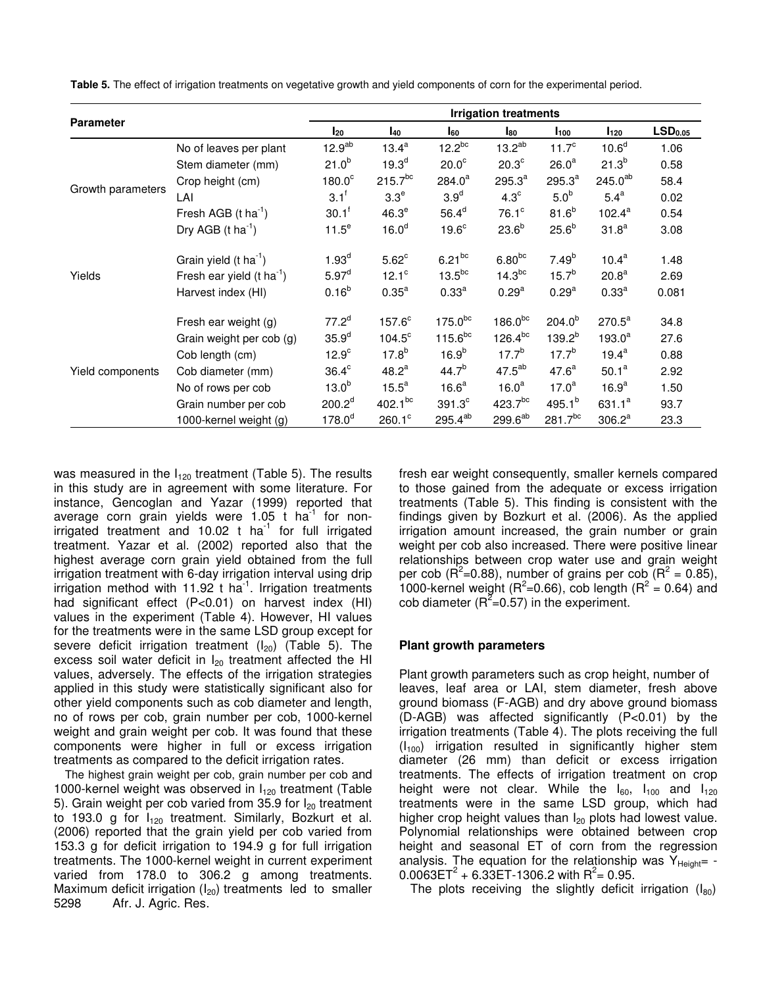|                   |                                       | <b>Irrigation treatments</b> |                   |                    |                     |                   |                     |       |
|-------------------|---------------------------------------|------------------------------|-------------------|--------------------|---------------------|-------------------|---------------------|-------|
| <b>Parameter</b>  | $I_{20}$                              | <b>140</b>                   | l <sub>60</sub>   | l <sub>80</sub>    | I <sub>100</sub>    | I <sub>120</sub>  | LSD <sub>0.05</sub> |       |
|                   | No of leaves per plant                | 12.9 <sup>ab</sup>           | $13.4^a$          | $12.2^{bc}$        | $13.2^{ab}$         | $11.7^{\circ}$    | 10.6 <sup>d</sup>   | 1.06  |
|                   | Stem diameter (mm)                    | $21.0^{b}$                   | 19.3 <sup>d</sup> | $20.0^\circ$       | 20.3 <sup>c</sup>   | 26.0 <sup>a</sup> | $21.3^{b}$          | 0.58  |
|                   | Crop height (cm)                      | $180.0^\circ$                | $215.7^{bc}$      | $284.0^a$          | $295.3^{a}$         | $295.3^{a}$       | $245.0^{ab}$        | 58.4  |
| Growth parameters | LAI                                   | 3.1 <sup>f</sup>             | 3.3 <sup>e</sup>  | 3.9 <sup>d</sup>   | $4.3^\circ$         | 5.0 <sup>b</sup>  | $5.4^a$             | 0.02  |
|                   | Fresh AGB $(t \text{ ha}^{-1})$       | $30.1^f$                     | 46.3 <sup>e</sup> | 56.4 <sup>d</sup>  | $76.1^\circ$        | $81.6^{b}$        | $102.4^a$           | 0.54  |
|                   | Dry AGB $(t \text{ ha}^{-1})$         | $11.5^e$                     | 16.0 <sup>d</sup> | 19.6 <sup>c</sup>  | $23.6^{b}$          | $25.6^{b}$        | 31.8 <sup>a</sup>   | 3.08  |
|                   | Grain yield $(t \text{ ha}^{-1})$     | 1.93 <sup>d</sup>            | $5.62^{\circ}$    | $6.21^{bc}$        | $6.80^{bc}$         | $7.49^{b}$        | $10.4^a$            | 1.48  |
| Yields            | Fresh ear yield $(t \text{ ha}^{-1})$ | $5.97^d$                     | $12.1^\circ$      | $13.5^{bc}$        | 14.3 <sup>bc</sup>  | $15.7^{b}$        | 20.8 <sup>a</sup>   | 2.69  |
|                   | Harvest index (HI)                    | $0.16^{b}$                   | 0.35 <sup>a</sup> | $0.33^{a}$         | 0.29 <sup>a</sup>   | 0.29 <sup>a</sup> | 0.33 <sup>a</sup>   | 0.081 |
| Yield components  | Fresh ear weight (g)                  | $77.2^d$                     | $157.6^{\circ}$   | $175.0^{bc}$       | 186.0 <sup>bc</sup> | $204.0^{b}$       | $270.5^a$           | 34.8  |
|                   | Grain weight per cob (g)              | 35.9 <sup>d</sup>            | $104.5^{\circ}$   | $115.6^{bc}$       | $126.4^{bc}$        | $139.2^{b}$       | $193.0^{a}$         | 27.6  |
|                   | Cob length (cm)                       | 12.9 <sup>c</sup>            | $17.8^{b}$        | $16.9^{b}$         | $17.7^{b}$          | $17.7^{b}$        | $19.4^a$            | 0.88  |
|                   | Cob diameter (mm)                     | $36.4^\circ$                 | $48.2^a$          | $44.7^{b}$         | $47.5^{ab}$         | 47.6 <sup>a</sup> | $50.1^a$            | 2.92  |
|                   | No of rows per cob                    | 13.0 <sup>b</sup>            | $15.5^a$          | 16.6 <sup>a</sup>  | 16.0 <sup>a</sup>   | $17.0^a$          | 16.9 <sup>a</sup>   | 1.50  |
|                   | Grain number per cob                  | 200.2 <sup>d</sup>           | $402.1^{bc}$      | 391.3 <sup>c</sup> | $423.7^{bc}$        | 495.1 $b$         | $631.1^a$           | 93.7  |
|                   | 1000-kernel weight (g)                | 178.0 <sup>d</sup>           | $260.1^\circ$     | $295.4^{ab}$       | $299.6^{ab}$        | $281.7^{bc}$      | $306.2^a$           | 23.3  |

**Table 5.** The effect of irrigation treatments on vegetative growth and yield components of corn for the experimental period.

was measured in the  $I_{120}$  treatment (Table 5). The results in this study are in agreement with some literature. For instance, Gencoglan and Yazar (1999) reported that average corn grain yields were 1.05 t ha<sup>-1</sup> for nonirrigated treatment and 10.02 t ha<sup>-1</sup> for full irrigated treatment. Yazar et al. (2002) reported also that the highest average corn grain yield obtained from the full irrigation treatment with 6-day irrigation interval using drip irrigation method with 11.92 t ha<sup>-1</sup>. Irrigation treatments had significant effect (P<0.01) on harvest index (HI) values in the experiment (Table 4). However, HI values for the treatments were in the same LSD group except for severe deficit irrigation treatment  $(I_{20})$  (Table 5). The excess soil water deficit in  $I_{20}$  treatment affected the HI values, adversely. The effects of the irrigation strategies applied in this study were statistically significant also for other yield components such as cob diameter and length, no of rows per cob, grain number per cob, 1000-kernel weight and grain weight per cob. It was found that these components were higher in full or excess irrigation treatments as compared to the deficit irrigation rates.

The highest grain weight per cob, grain number per cob and 1000-kernel weight was observed in  $I_{120}$  treatment (Table 5). Grain weight per cob varied from 35.9 for  $I_{20}$  treatment to 193.0 g for  $I_{120}$  treatment. Similarly, Bozkurt et al. (2006) reported that the grain yield per cob varied from 153.3 g for deficit irrigation to 194.9 g for full irrigation treatments. The 1000-kernel weight in current experiment varied from 178.0 to 306.2 g among treatments. Maximum deficit irrigation  $(I_{20})$  treatments led to smaller 5298 Afr. J. Agric. Res. Afr. J. Agric. Res.

fresh ear weight consequently, smaller kernels compared to those gained from the adequate or excess irrigation treatments (Table 5). This finding is consistent with the findings given by Bozkurt et al. (2006). As the applied irrigation amount increased, the grain number or grain weight per cob also increased. There were positive linear relationships between crop water use and grain weight per cob ( $\overline{\mathsf{R}}^2$ =0.88), number of grains per cob ( $\overline{\mathsf{R}}^2$  = 0.85), 1000-kernel weight ( $R^2$ =0.66), cob length ( $R^2$  = 0.64) and cob diameter ( $R^2$ =0.57) in the experiment.

#### **Plant growth parameters**

Plant growth parameters such as crop height, number of leaves, leaf area or LAI, stem diameter, fresh above ground biomass (F-AGB) and dry above ground biomass (D-AGB) was affected significantly (P<0.01) by the irrigation treatments (Table 4). The plots receiving the full  $(I_{100})$  irrigation resulted in significantly higher stem diameter (26 mm) than deficit or excess irrigation treatments. The effects of irrigation treatment on crop height were not clear. While the  $I_{60}$ ,  $I_{100}$  and  $I_{120}$ treatments were in the same LSD group, which had higher crop height values than  $I_{20}$  plots had lowest value. Polynomial relationships were obtained between crop height and seasonal ET of corn from the regression analysis. The equation for the relationship was  $Y_{Heicht}$  - $0.0063ET^{2} + 6.33ET-1306.2$  with R<sup>2</sup>= 0.95.

The plots receiving the slightly deficit irrigation  $(I_{80})$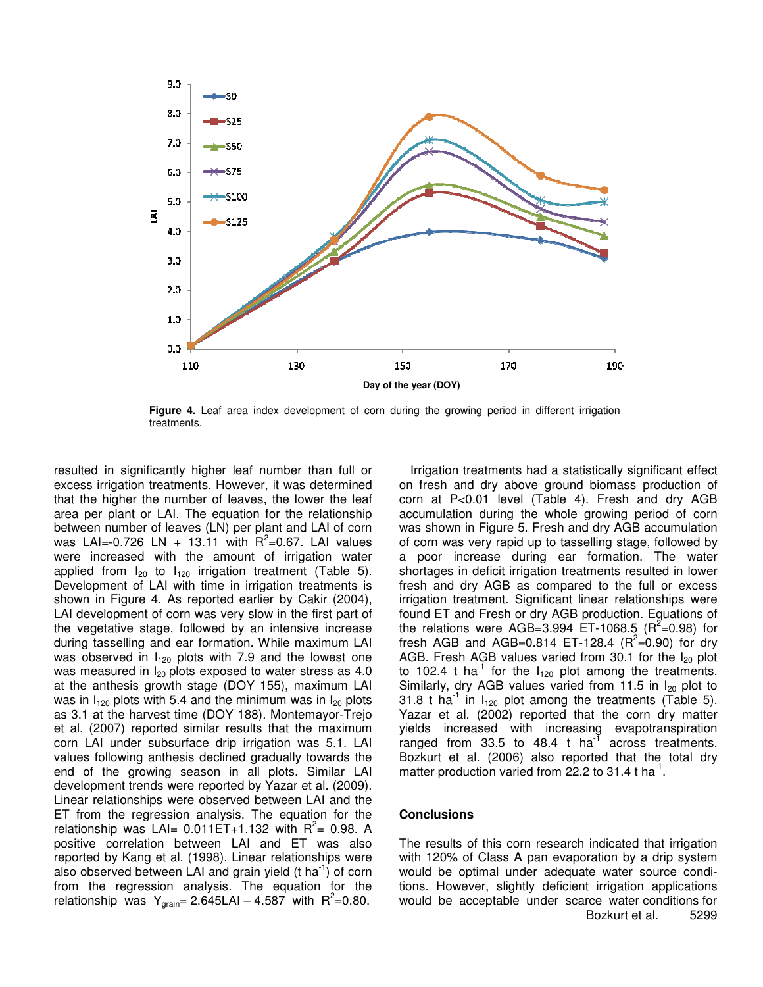

**Figure 4.** Leaf area index development of corn during the growing period in different irrigation treatments.

resulted in significantly higher leaf number than full or excess irrigation treatments. However, it was determined that the higher the number of leaves, the lower the leaf area per plant or LAI. The equation for the relationship between number of leaves (LN) per plant and LAI of corn was LAI=-0.726 LN + 13.11 with  $R^2$ =0.67. LAI values were increased with the amount of irrigation water applied from  $I_{20}$  to  $I_{120}$  irrigation treatment (Table 5). Development of LAI with time in irrigation treatments is shown in Figure 4. As reported earlier by Cakir (2004), LAI development of corn was very slow in the first part of the vegetative stage, followed by an intensive increase during tasselling and ear formation. While maximum LAI was observed in  $I_{120}$  plots with 7.9 and the lowest one was measured in  $I_{20}$  plots exposed to water stress as 4.0 at the anthesis growth stage (DOY 155), maximum LAI was in  $I_{120}$  plots with 5.4 and the minimum was in  $I_{20}$  plots as 3.1 at the harvest time (DOY 188). Montemayor-Trejo et al. (2007) reported similar results that the maximum corn LAI under subsurface drip irrigation was 5.1. LAI values following anthesis declined gradually towards the end of the growing season in all plots. Similar LAI development trends were reported by Yazar et al. (2009). Linear relationships were observed between LAI and the ET from the regression analysis. The equation for the relationship was LAI=  $0.011ET+1.132$  with  $R^2$ = 0.98. A positive correlation between LAI and ET was also reported by Kang et al. (1998). Linear relationships were also observed between LAI and grain yield (t ha<sup>-1</sup>) of corn from the regression analysis. The equation for the relationship was  $Y_{\text{grain}} = 2.645 \text{L} \text{Al} - 4.587$  with  $R^2 = 0.80$ .

Irrigation treatments had a statistically significant effect on fresh and dry above ground biomass production of corn at P<0.01 level (Table 4). Fresh and dry AGB accumulation during the whole growing period of corn was shown in Figure 5. Fresh and dry AGB accumulation of corn was very rapid up to tasselling stage, followed by a poor increase during ear formation. The water shortages in deficit irrigation treatments resulted in lower fresh and dry AGB as compared to the full or excess irrigation treatment. Significant linear relationships were found ET and Fresh or dry AGB production. Equations of the relations were AGB=3.994 ET-1068.5 ( $R^2$ =0.98) for fresh AGB and AGB=0.814 ET-128.4 ( $R^2$ =0.90) for dry AGB. Fresh AGB values varied from 30.1 for the  $I_{20}$  plot to 102.4 t ha<sup>-1</sup> for the  $I_{120}$  plot among the treatments. Similarly, dry AGB values varied from 11.5 in  $I_{20}$  plot to 31.8 t ha<sup>-1</sup> in  $I_{120}$  plot among the treatments (Table 5). Yazar et al. (2002) reported that the corn dry matter yields increased with increasing evapotranspiration ranged from 33.5 to 48.4 t ha<sup>-T</sup> across treatments. Bozkurt et al. (2006) also reported that the total dry matter production varied from 22.2 to 31.4 t ha<sup>-1</sup>.

## **Conclusions**

The results of this corn research indicated that irrigation with 120% of Class A pan evaporation by a drip system would be optimal under adequate water source conditions. However, slightly deficient irrigation applications would be acceptable under scarce water conditions for Bozkurt et al. 5299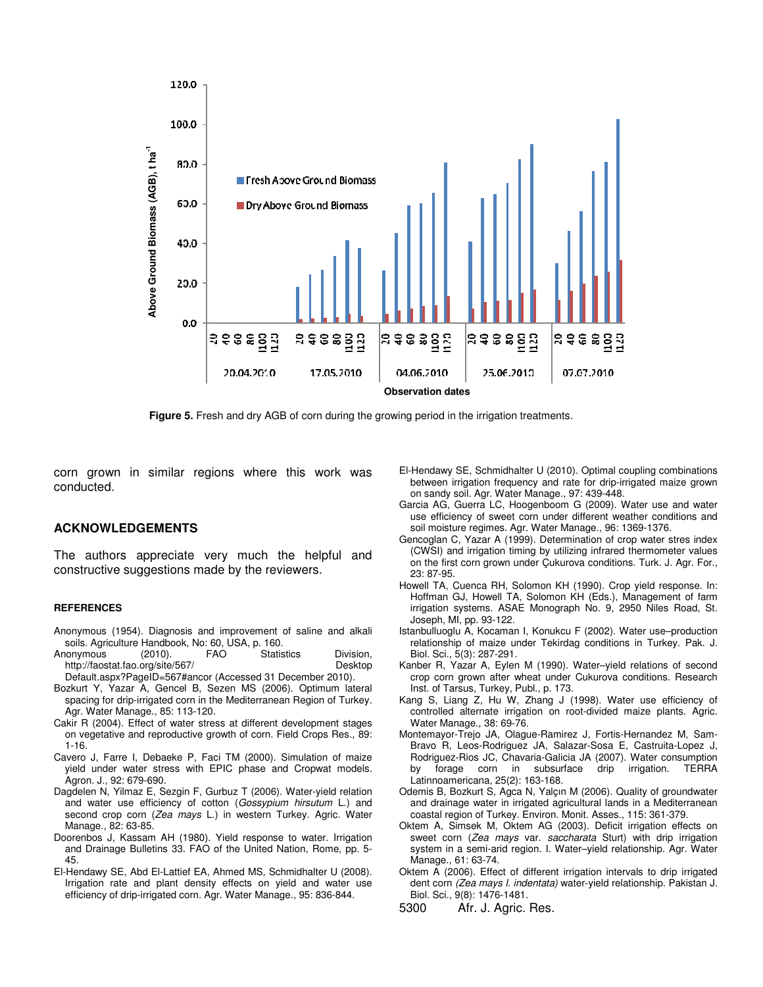

**Figure 5.** Fresh and dry AGB of corn during the growing period in the irrigation treatments.

corn grown in similar regions where this work was conducted.

### **ACKNOWLEDGEMENTS**

The authors appreciate very much the helpful and constructive suggestions made by the reviewers.

#### **REFERENCES**

- Anonymous (1954). Diagnosis and improvement of saline and alkali soils. Agriculture Handbook, No: 60, USA, p. 160.
- Anonymous (2010). FAO Statistics Division,<br>http://faostat.fao.org/site/567/ http://faostat.fao.org/site/567/ http://faostat.fao.org/site/567/ Default.aspx?PageID=567#ancor (Accessed 31 December 2010).
- Bozkurt Y, Yazar A, Gencel B, Sezen MS (2006). Optimum lateral spacing for drip-irrigated corn in the Mediterranean Region of Turkey. Agr. Water Manage., 85: 113-120.
- Cakir R (2004). Effect of water stress at different development stages on vegetative and reproductive growth of corn. Field Crops Res., 89: 1-16.
- Cavero J, Farre I, Debaeke P, Faci TM (2000). Simulation of maize yield under water stress with EPIC phase and Cropwat models. Agron. J., 92: 679-690.
- Dagdelen N, Yilmaz E, Sezgin F, Gurbuz T (2006). Water-yield relation and water use efficiency of cotton (*Gossypium hirsutum* L.) and second crop corn (*Zea mays* L.) in western Turkey. Agric. Water Manage., 82: 63-85.
- Doorenbos J, Kassam AH (1980). Yield response to water. Irrigation and Drainage Bulletins 33. FAO of the United Nation, Rome, pp. 5- 45.
- El-Hendawy SE, Abd El-Lattief EA, Ahmed MS, Schmidhalter U (2008). Irrigation rate and plant density effects on yield and water use efficiency of drip-irrigated corn. Agr. Water Manage., 95: 836-844.
- El-Hendawy SE, Schmidhalter U (2010). Optimal coupling combinations between irrigation frequency and rate for drip-irrigated maize grown on sandy soil. Agr. Water Manage., 97: 439-448.
- Garcia AG, Guerra LC, Hoogenboom G (2009). Water use and water use efficiency of sweet corn under different weather conditions and soil moisture regimes. Agr. Water Manage., 96: 1369-1376.
- Gencoglan C, Yazar A (1999). Determination of crop water stres index (CWSI) and irrigation timing by utilizing infrared thermometer values on the first corn grown under Çukurova conditions. Turk. J. Agr. For., 23: 87-95.
- Howell TA, Cuenca RH, Solomon KH (1990). Crop yield response. In: Hoffman GJ, Howell TA, Solomon KH (Eds.), Management of farm irrigation systems. ASAE Monograph No. 9, 2950 Niles Road, St. Joseph, MI, pp. 93-122.
- Istanbulluoglu A, Kocaman I, Konukcu F (2002). Water use–production relationship of maize under Tekirdag conditions in Turkey. Pak. J. Biol. Sci., 5(3): 287-291.
- Kanber R, Yazar A, Eylen M (1990). Water–yield relations of second crop corn grown after wheat under Cukurova conditions. Research Inst. of Tarsus, Turkey, Publ., p. 173.
- Kang S, Liang Z, Hu W, Zhang J (1998). Water use efficiency of controlled alternate irrigation on root-divided maize plants. Agric. Water Manage., 38: 69-76.
- Montemayor-Trejo JA, Olague-Ramirez J, Fortis-Hernandez M, Sam-Bravo R, Leos-Rodriguez JA, Salazar-Sosa E, Castruita-Lopez J, Rodriguez-Rios JC, Chavaria-Galicia JA (2007). Water consumption by forage corn in subsurface drip irrigation. TERRA Latinnoamericana, 25(2): 163-168.
- Odemis B, Bozkurt S, Agca N, Yalçın M (2006). Quality of groundwater and drainage water in irrigated agricultural lands in a Mediterranean coastal region of Turkey. Environ. Monit. Asses., 115: 361-379.
- Oktem A, Simsek M, Oktem AG (2003). Deficit irrigation effects on sweet corn (*Zea mays* var. *saccharata* Sturt) with drip irrigation system in a semi-arid region. I. Water–yield relationship. Agr. Water Manage., 61: 63-74.
- Oktem A (2006). Effect of different irrigation intervals to drip irrigated dent corn *(Zea mays l. indentata)* water-yield relationship. Pakistan J. Biol. Sci., 9(8): 1476-1481.
- 5300 Afr. J. Agric. Res.